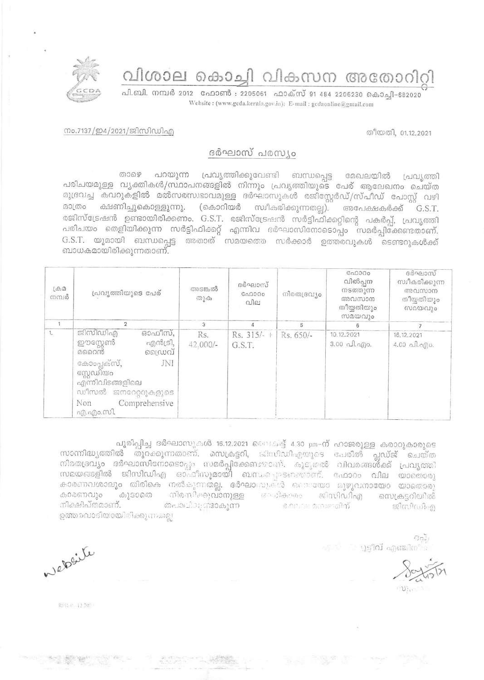വിശാല കൊച്ചി വികസന അതോറിറ്റി

പി.ബി. നമ്പർ 2012 ഫോൺ : 2205061 ഫാക്സ് 91 484 2206230 കൊച്ചി-682020 Website: (www.gcda.kerala.gov.in); E-mail: gcdaonline@gmail.com

## തീയതി, 01.12.2021

## നം.7137/ഇ4/2021/ജിസിഡിഎ

## ദർഘാസ് പരസ്യം

പറയുന്ന പ്രവൃത്തിക്കുവേണ്ടി ബന്ധപ്പെട്ട മേഖലയിൽ പ്രവൃത്തി கை പരിചയമുള്ള വൃക്തികൾ/സ്ഥാപനങ്ങളിൽ നിന്നും പ്രവൃത്തിയുടെ പേര് ആലേഖനം ചെയ്ത മുദ്രവച്ച കവറുകളിൽ മൽസരസ്വഭാവമുള്ള ദർഘാസുകൾ രജിസ്റ്റേർഡ്/സ്പീഡ് പോസ്റ്റ് വഴി മാത്രം ക്ഷണിച്ചുകൊള്ളുന്നു. (കൊറിയർ സ്വീകരിക്കുന്നതല്ല). അപേക്ഷകർക്ക് G.S.T. രജിസ്ട്രേഷൻ ഉണ്ടായിരിക്കണം. G.S.T. രജിസ്ട്രേഷൻ സർട്ടിഫിക്കറ്റിന്റെ പകർപ്പ്, പ്രവൃത്തി പരിചയം തെളിയിക്കുന്ന സർട്ടിഫിക്കറ്റ് എന്നിവ ദർഘാസിനോടൊപ്പം സമർപ്പിക്കേണ്ടതാണ്. G.S.T. യുമായി ബന്ധപ്പെട്ട അതാത് സമയത്തെ സർക്കാർ ഉത്തരവുകൾ ടെണ്ടറുകൾക്ക് ബാധകമായിരിക്കുന്നതാണ്.

| $L\oplus \mathcal{D}$<br>നമ്പർ | പ്രവൃത്തിയുടെ പേര്                                                                                                                                                           | അടങ്കൽ<br>തുക     | ദർഘാസ്<br>GAD00c<br>വില | നിരതദ്രവ്യം | C <sub>0</sub> 0000<br>വിൽപ്പന<br>നടത്തുന്ന<br>അവസാന<br>തീയ്യതിയും<br>സമയവും | ദർഘാസ്<br>സ്വീകരിക്കുന്ന<br>അവസാന<br>തീയ്യതിയും<br>സമയവും |
|--------------------------------|------------------------------------------------------------------------------------------------------------------------------------------------------------------------------|-------------------|-------------------------|-------------|------------------------------------------------------------------------------|-----------------------------------------------------------|
|                                |                                                                                                                                                                              | 3                 |                         | 5           | 6                                                                            |                                                           |
| 1.                             | ജിസിഡിഎ<br>ഓഫീസ്,<br>ഈസ്റ്റേൺ<br>എൻട്രി,<br>ഡ്രൈവ്<br>മറൈൻ<br>കോംപ്ലക്സ്,<br>JNI<br>സ്റ്റേഡിയം<br>എന്നിവിടങ്ങളിലെ<br>ഡീസൽ ജനറേറ്ററുകളുടെ<br>Comprehensive<br>Non<br>എ.എം.സി. | Rs.<br>$42,000/-$ | $Rs. 315/- +$<br>G.S.T. | Rs. 650/-   | 10.12.2021<br>$3.00 \text{ }\Omega$ . ago.                                   | 16, 12, 2021<br>$4.00 \text{ all.}$ and $0.$              |

പൂരിപ്പിച്ച ദർഘാസുകൾ 16.12.2021 ചൈക്ട്ര് 4.30 pm-ന് ഹാജരുള്ള കരാറുകാരുടെ സാന്നിദ്ധ്യത്തിൽ തുറക്കുന്നതാണ്. സെക്രട്ടറി, ജിഡിഡിഎയുടെ പേരിൽ പ്ലഡ്ജ് ചെയ്ത നിരതദ്രവ്യം ദർഘാസിനോടൊപ്പം സമർപ്പിക്കേണ്ടതാണ്. കൂടുതൽ വിവരങ്ങൾക്ക് പ്രവൃത്തി സമയങ്ങളിൽ ജിസിഡിഎ ഓഫീസുമായി ബന്ധപ്പെടണ്ടതാണ്. ഫോറം വില യാതൊരു കാരണവശാലും തിരികെ നൽകുന്നതല്ല. ദർഘാസുകൾ ഒന്നയോ മുഴുവനായോ യാതൊരു കൂടാതെ നിരമ്പിക്കുവാനുള്ള അധികാരം ജിസിഡിഎ കാരണവും സെക്രട്ടറിയിൽ നിക്ഷിപ്തമാണ്. തപാലിലാട്ടാകുന്ന കാലത: മന്ദ്രത്തിന് ജീസിഡിഎ ഉത്തരവാദിയായിരിക്കുന്നതല്ല

> $BaJi$ എക് $\sim 0.9$ ിവ് എഞ്ചിനീയ

Nelsile

RPR-0. 12.2021